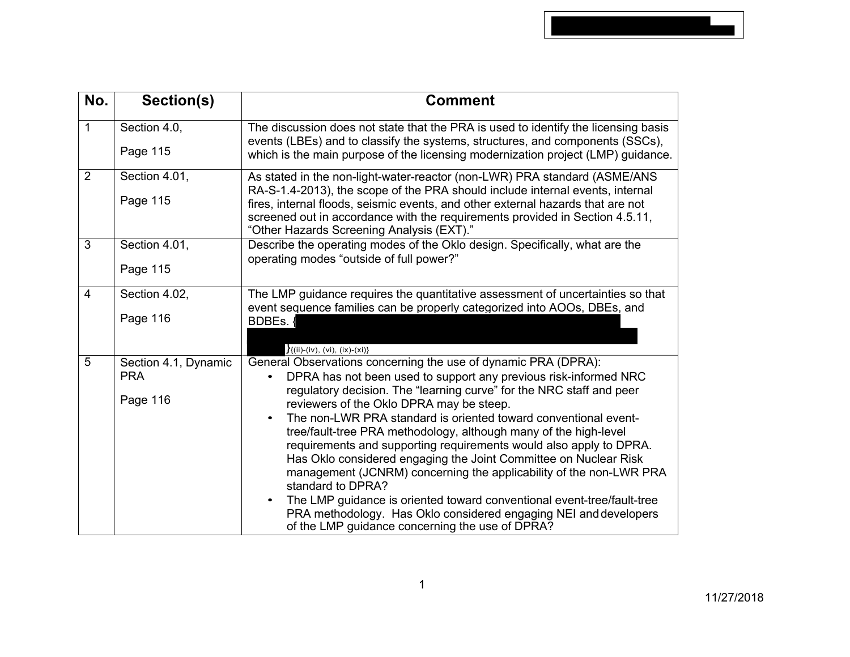| No.            | Section(s)           | <b>Comment</b>                                                                                                                                                                                               |
|----------------|----------------------|--------------------------------------------------------------------------------------------------------------------------------------------------------------------------------------------------------------|
| $\mathbf{1}$   | Section 4.0,         | The discussion does not state that the PRA is used to identify the licensing basis                                                                                                                           |
|                | Page 115             | events (LBEs) and to classify the systems, structures, and components (SSCs),<br>which is the main purpose of the licensing modernization project (LMP) guidance.                                            |
| $\overline{2}$ | Section 4.01,        | As stated in the non-light-water-reactor (non-LWR) PRA standard (ASME/ANS<br>RA-S-1.4-2013), the scope of the PRA should include internal events, internal                                                   |
|                | Page 115             | fires, internal floods, seismic events, and other external hazards that are not<br>screened out in accordance with the requirements provided in Section 4.5.11,<br>"Other Hazards Screening Analysis (EXT)." |
| 3              | Section 4.01,        | Describe the operating modes of the Oklo design. Specifically, what are the<br>operating modes "outside of full power?"                                                                                      |
|                | Page 115             |                                                                                                                                                                                                              |
| $\overline{4}$ | Section 4.02,        | The LMP guidance requires the quantitative assessment of uncertainties so that                                                                                                                               |
|                | Page 116             | event sequence families can be properly categorized into AOOs, DBEs, and<br>BDBEs.<br>$\{$ (ii)-(iv), (vi), (ix)-(xi)}                                                                                       |
| 5              | Section 4.1, Dynamic | General Observations concerning the use of dynamic PRA (DPRA):                                                                                                                                               |
|                | <b>PRA</b>           | DPRA has not been used to support any previous risk-informed NRC<br>regulatory decision. The "learning curve" for the NRC staff and peer                                                                     |
|                | Page 116             | reviewers of the Oklo DPRA may be steep.                                                                                                                                                                     |
|                |                      | The non-LWR PRA standard is oriented toward conventional event-<br>tree/fault-tree PRA methodology, although many of the high-level                                                                          |
|                |                      | requirements and supporting requirements would also apply to DPRA.                                                                                                                                           |
|                |                      | Has Oklo considered engaging the Joint Committee on Nuclear Risk                                                                                                                                             |
|                |                      | management (JCNRM) concerning the applicability of the non-LWR PRA<br>standard to DPRA?                                                                                                                      |
|                |                      | The LMP guidance is oriented toward conventional event-tree/fault-tree                                                                                                                                       |
|                |                      | PRA methodology. Has Oklo considered engaging NEI and developers<br>of the LMP guidance concerning the use of DPRA?                                                                                          |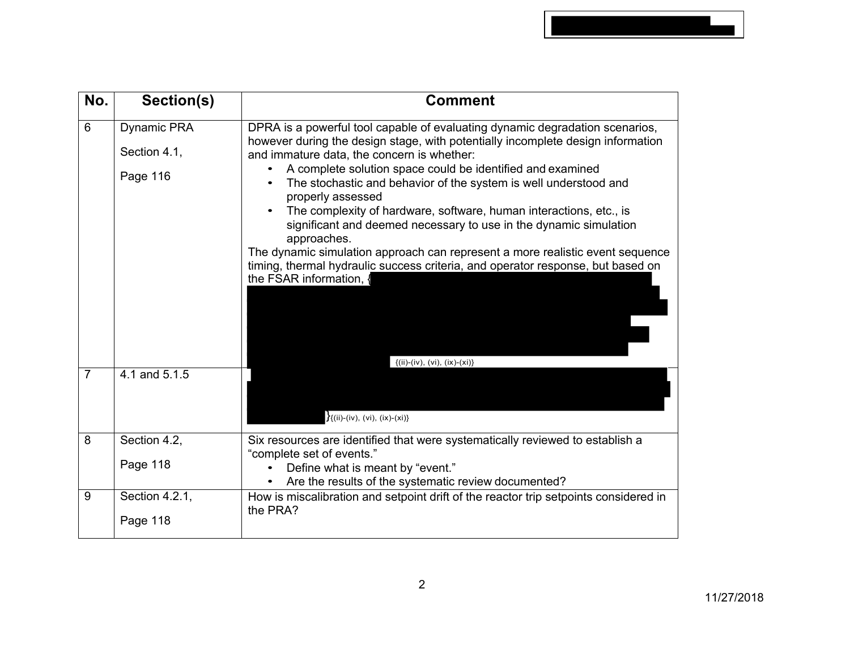| No.            | Section(s)                                 | <b>Comment</b>                                                                                                                                                                                                                                                                                                                                                                                                                                                                                                                                                                                                                                                                                                                |
|----------------|--------------------------------------------|-------------------------------------------------------------------------------------------------------------------------------------------------------------------------------------------------------------------------------------------------------------------------------------------------------------------------------------------------------------------------------------------------------------------------------------------------------------------------------------------------------------------------------------------------------------------------------------------------------------------------------------------------------------------------------------------------------------------------------|
| $6\phantom{1}$ | Dynamic PRA<br>Section 4.1,<br>Page 116    | DPRA is a powerful tool capable of evaluating dynamic degradation scenarios,<br>however during the design stage, with potentially incomplete design information<br>and immature data, the concern is whether:<br>A complete solution space could be identified and examined<br>The stochastic and behavior of the system is well understood and<br>properly assessed<br>The complexity of hardware, software, human interactions, etc., is<br>significant and deemed necessary to use in the dynamic simulation<br>approaches.<br>The dynamic simulation approach can represent a more realistic event sequence<br>timing, thermal hydraulic success criteria, and operator response, but based on<br>the FSAR information, { |
| $\overline{7}$ | $4.1$ and $5.1.5$                          | $\{(ii)-(iv), (vi), (ix)-(xi)\}$<br>$\{$ (ii)-(iv), (vi), (ix)-(xi)}                                                                                                                                                                                                                                                                                                                                                                                                                                                                                                                                                                                                                                                          |
| 8<br>9         | Section 4.2,<br>Page 118<br>Section 4.2.1, | Six resources are identified that were systematically reviewed to establish a<br>"complete set of events."<br>Define what is meant by "event."<br>Are the results of the systematic review documented?<br>How is miscalibration and setpoint drift of the reactor trip setpoints considered in                                                                                                                                                                                                                                                                                                                                                                                                                                |
|                | Page 118                                   | the PRA?                                                                                                                                                                                                                                                                                                                                                                                                                                                                                                                                                                                                                                                                                                                      |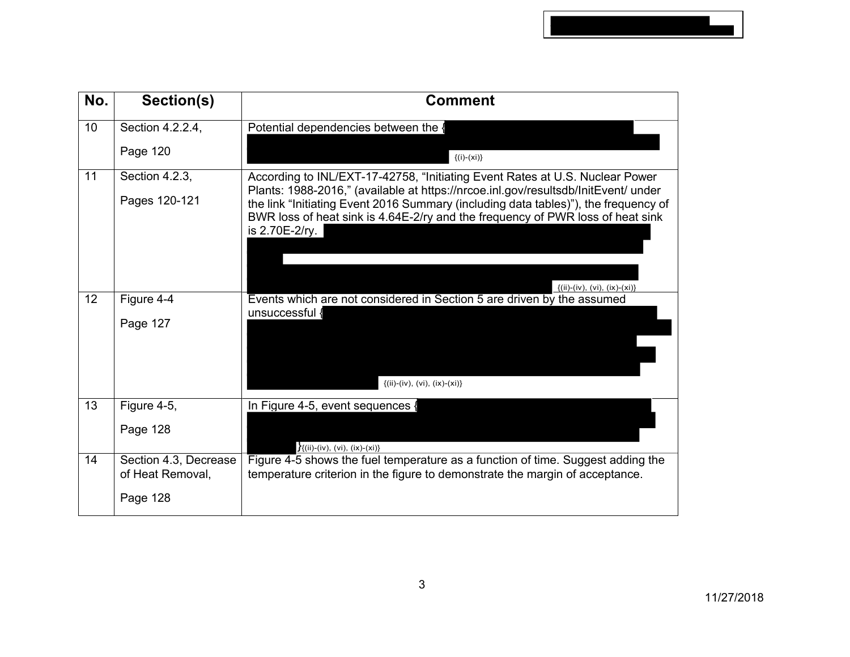| No. | Section(s)                                            | <b>Comment</b>                                                                                                                                                                                                                                                                                                                                                                                    |
|-----|-------------------------------------------------------|---------------------------------------------------------------------------------------------------------------------------------------------------------------------------------------------------------------------------------------------------------------------------------------------------------------------------------------------------------------------------------------------------|
| 10  | Section 4.2.2.4,                                      | Potential dependencies between the {                                                                                                                                                                                                                                                                                                                                                              |
|     | Page 120                                              | ${(i)-(xi)}$                                                                                                                                                                                                                                                                                                                                                                                      |
| 11  | Section 4.2.3,<br>Pages 120-121                       | According to INL/EXT-17-42758, "Initiating Event Rates at U.S. Nuclear Power<br>Plants: 1988-2016," (available at https://nrcoe.inl.gov/resultsdb/InitEvent/ under<br>the link "Initiating Event 2016 Summary (including data tables)"), the frequency of<br>BWR loss of heat sink is 4.64E-2/ry and the frequency of PWR loss of heat sink<br>is 2.70E-2/ry.<br>$\{(ii)-(iv), (vi), (ix)-(xi)\}$ |
| 12  | Figure 4-4<br>Page 127                                | Events which are not considered in Section 5 are driven by the assumed<br>unsuccessful {<br>$\{(ii)-(iv), (vi), (ix)-(xi)\}$                                                                                                                                                                                                                                                                      |
| 13  | Figure 4-5,<br>Page 128                               | In Figure 4-5, event sequences {<br>$\{$ (ii)-(iv), (vi), (ix)-(xi)}                                                                                                                                                                                                                                                                                                                              |
| 14  | Section 4.3, Decrease<br>of Heat Removal,<br>Page 128 | Figure 4-5 shows the fuel temperature as a function of time. Suggest adding the<br>temperature criterion in the figure to demonstrate the margin of acceptance.                                                                                                                                                                                                                                   |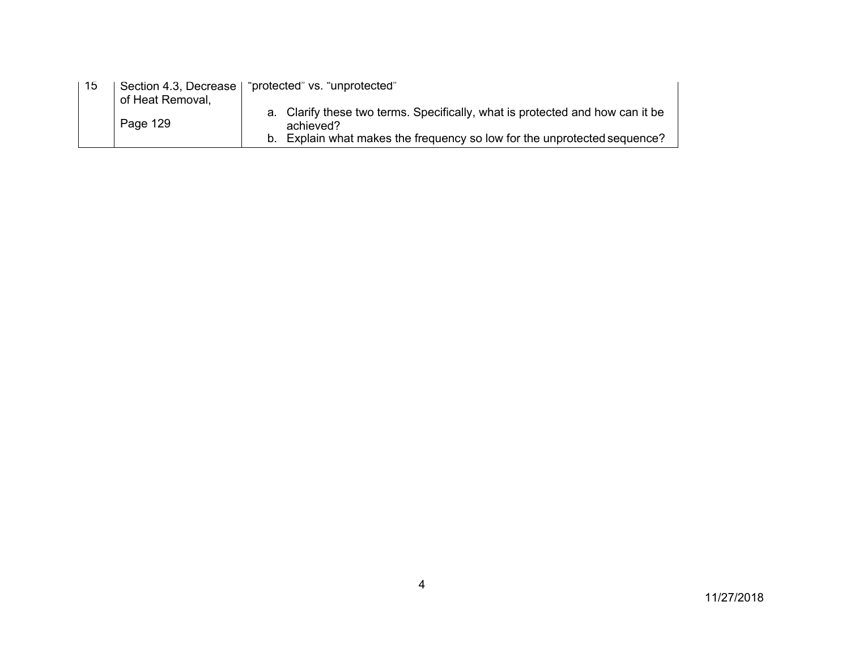| 15 | of Heat Removal, | Section 4.3, Decrease   "protected" vs. "unprotected"                                                                                                                     |  |
|----|------------------|---------------------------------------------------------------------------------------------------------------------------------------------------------------------------|--|
|    | Page 129         | a. Clarify these two terms. Specifically, what is protected and how can it be<br>achieved?<br>Explain what makes the frequency so low for the unprotected sequence?<br>b. |  |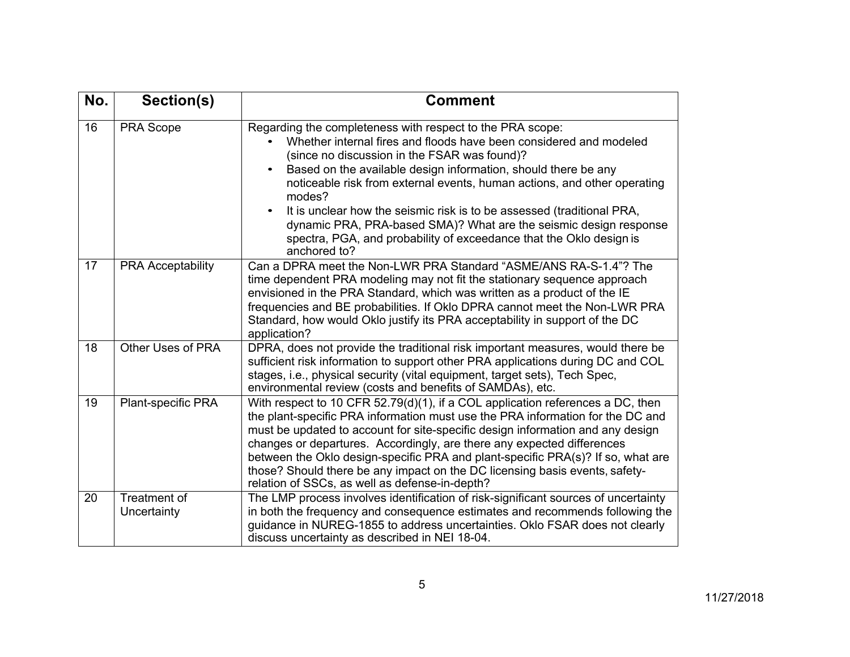| No. | Section(s)                  | <b>Comment</b>                                                                                                                                                                                                                                                                                                                                                                                                                                                                                                                                      |
|-----|-----------------------------|-----------------------------------------------------------------------------------------------------------------------------------------------------------------------------------------------------------------------------------------------------------------------------------------------------------------------------------------------------------------------------------------------------------------------------------------------------------------------------------------------------------------------------------------------------|
| 16  | <b>PRA Scope</b>            | Regarding the completeness with respect to the PRA scope:<br>Whether internal fires and floods have been considered and modeled<br>(since no discussion in the FSAR was found)?<br>Based on the available design information, should there be any<br>noticeable risk from external events, human actions, and other operating<br>modes?<br>It is unclear how the seismic risk is to be assessed (traditional PRA,<br>dynamic PRA, PRA-based SMA)? What are the seismic design response                                                              |
|     |                             | spectra, PGA, and probability of exceedance that the Oklo design is<br>anchored to?                                                                                                                                                                                                                                                                                                                                                                                                                                                                 |
| 17  | <b>PRA Acceptability</b>    | Can a DPRA meet the Non-LWR PRA Standard "ASME/ANS RA-S-1.4"? The<br>time dependent PRA modeling may not fit the stationary sequence approach<br>envisioned in the PRA Standard, which was written as a product of the IE<br>frequencies and BE probabilities. If Oklo DPRA cannot meet the Non-LWR PRA<br>Standard, how would Oklo justify its PRA acceptability in support of the DC<br>application?                                                                                                                                              |
| 18  | Other Uses of PRA           | DPRA, does not provide the traditional risk important measures, would there be<br>sufficient risk information to support other PRA applications during DC and COL<br>stages, i.e., physical security (vital equipment, target sets), Tech Spec,<br>environmental review (costs and benefits of SAMDAs), etc.                                                                                                                                                                                                                                        |
| 19  | Plant-specific PRA          | With respect to 10 CFR $52.79(d)(1)$ , if a COL application references a DC, then<br>the plant-specific PRA information must use the PRA information for the DC and<br>must be updated to account for site-specific design information and any design<br>changes or departures. Accordingly, are there any expected differences<br>between the Oklo design-specific PRA and plant-specific PRA(s)? If so, what are<br>those? Should there be any impact on the DC licensing basis events, safety-<br>relation of SSCs, as well as defense-in-depth? |
| 20  | Treatment of<br>Uncertainty | The LMP process involves identification of risk-significant sources of uncertainty<br>in both the frequency and consequence estimates and recommends following the<br>guidance in NUREG-1855 to address uncertainties. Oklo FSAR does not clearly<br>discuss uncertainty as described in NEI 18-04.                                                                                                                                                                                                                                                 |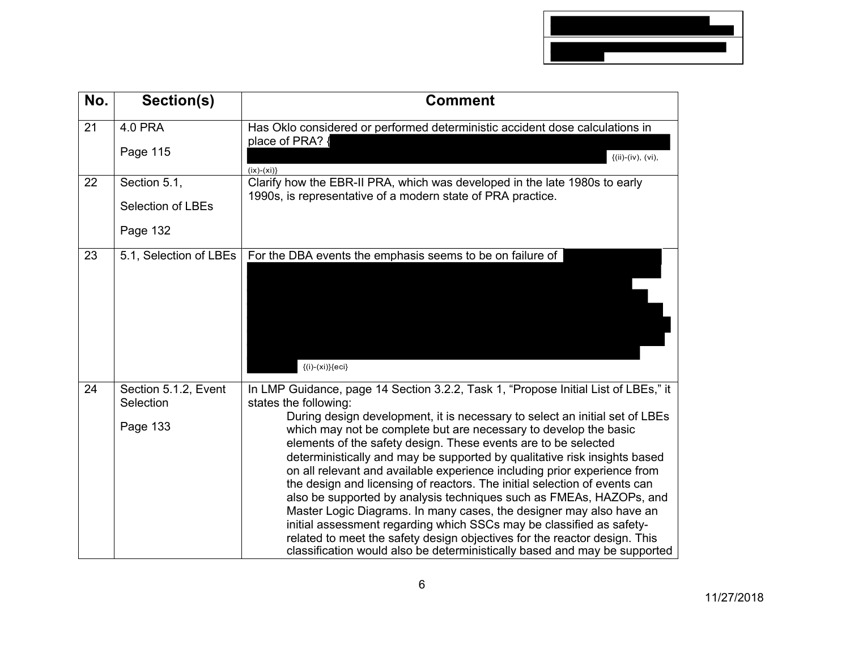| No.             | Section(s)                                    | <b>Comment</b>                                                                                                                                                                                                                                                                                                                                                                                                                                                                                                                                                                                                                                                                                                                                                                                                                                                                                                                                         |
|-----------------|-----------------------------------------------|--------------------------------------------------------------------------------------------------------------------------------------------------------------------------------------------------------------------------------------------------------------------------------------------------------------------------------------------------------------------------------------------------------------------------------------------------------------------------------------------------------------------------------------------------------------------------------------------------------------------------------------------------------------------------------------------------------------------------------------------------------------------------------------------------------------------------------------------------------------------------------------------------------------------------------------------------------|
| $\overline{21}$ | <b>4.0 PRA</b>                                | Has Oklo considered or performed deterministic accident dose calculations in<br>place of PRA? {                                                                                                                                                                                                                                                                                                                                                                                                                                                                                                                                                                                                                                                                                                                                                                                                                                                        |
|                 | Page 115                                      | ${(iii)-(iv), (vi),}$<br>$(ix)-(xi)\}$                                                                                                                                                                                                                                                                                                                                                                                                                                                                                                                                                                                                                                                                                                                                                                                                                                                                                                                 |
| 22              | Section 5.1,<br><b>Selection of LBEs</b>      | Clarify how the EBR-II PRA, which was developed in the late 1980s to early<br>1990s, is representative of a modern state of PRA practice.                                                                                                                                                                                                                                                                                                                                                                                                                                                                                                                                                                                                                                                                                                                                                                                                              |
|                 | Page 132                                      |                                                                                                                                                                                                                                                                                                                                                                                                                                                                                                                                                                                                                                                                                                                                                                                                                                                                                                                                                        |
| 23              | 5.1, Selection of LBEs                        | For the DBA events the emphasis seems to be on failure of<br>${(i)-(xi)}$ ${eci}$                                                                                                                                                                                                                                                                                                                                                                                                                                                                                                                                                                                                                                                                                                                                                                                                                                                                      |
| 24              | Section 5.1.2, Event<br>Selection<br>Page 133 | In LMP Guidance, page 14 Section 3.2.2, Task 1, "Propose Initial List of LBEs," it<br>states the following:<br>During design development, it is necessary to select an initial set of LBEs<br>which may not be complete but are necessary to develop the basic<br>elements of the safety design. These events are to be selected<br>deterministically and may be supported by qualitative risk insights based<br>on all relevant and available experience including prior experience from<br>the design and licensing of reactors. The initial selection of events can<br>also be supported by analysis techniques such as FMEAs, HAZOPs, and<br>Master Logic Diagrams. In many cases, the designer may also have an<br>initial assessment regarding which SSCs may be classified as safety-<br>related to meet the safety design objectives for the reactor design. This<br>classification would also be deterministically based and may be supported |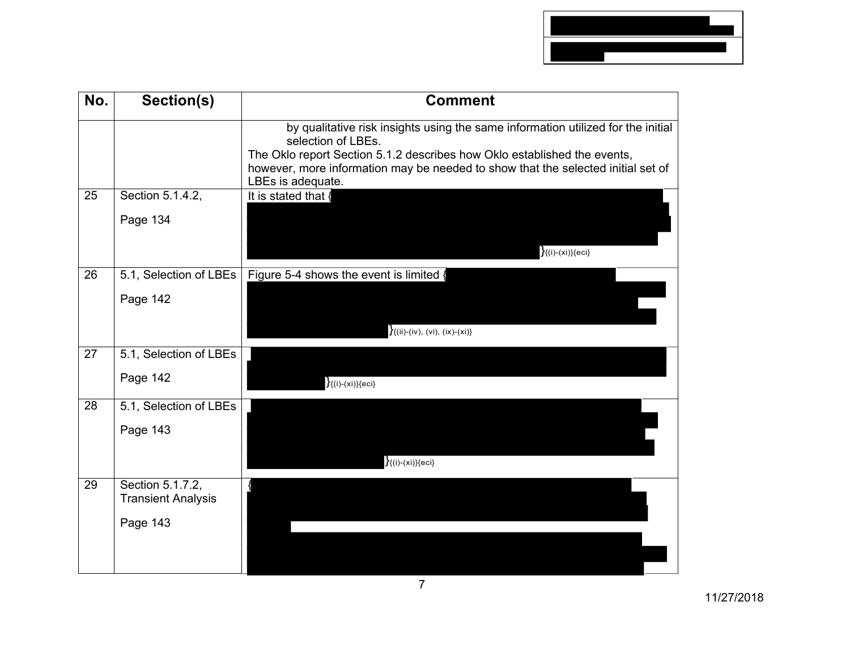

| No.             | Section(s)                                                | <b>Comment</b>                                                                                                                                                                                                                                                                              |
|-----------------|-----------------------------------------------------------|---------------------------------------------------------------------------------------------------------------------------------------------------------------------------------------------------------------------------------------------------------------------------------------------|
|                 |                                                           | by qualitative risk insights using the same information utilized for the initial<br>selection of LBEs.<br>The Oklo report Section 5.1.2 describes how Oklo established the events,<br>however, more information may be needed to show that the selected initial set of<br>LBEs is adequate. |
| 25              | Section 5.1.4.2,<br>Page 134                              | It is stated that {<br>$\overline{\chi_{(\mathsf{i})^{\mathsf{-}}(\mathsf{x}\mathsf{i})\{\mathsf{ec}\mathsf{i}\}}}$                                                                                                                                                                         |
| 26              | 5.1, Selection of LBEs<br>Page 142                        | Figure 5-4 shows the event is limited {<br>$\{$ (ii)-(iv), (vi), (ix)-(xi)}                                                                                                                                                                                                                 |
| $\overline{27}$ | 5.1, Selection of LBEs<br>Page 142                        | $\overline{\chi_{(\mathsf{i})^{\mathsf{-}}(\mathsf{x}\mathsf{i})\{\mathsf{ec}\mathsf{i}\}}}$                                                                                                                                                                                                |
| 28              | 5.1, Selection of LBEs<br>Page 143                        | $\{i(-x_i)\}$ {eci}                                                                                                                                                                                                                                                                         |
| 29              | Section 5.1.7.2,<br><b>Transient Analysis</b><br>Page 143 |                                                                                                                                                                                                                                                                                             |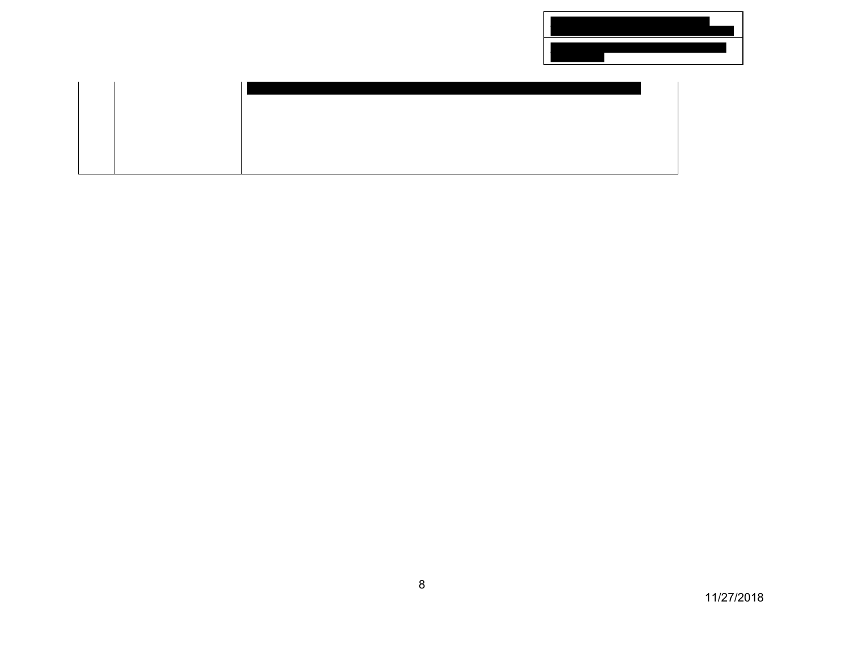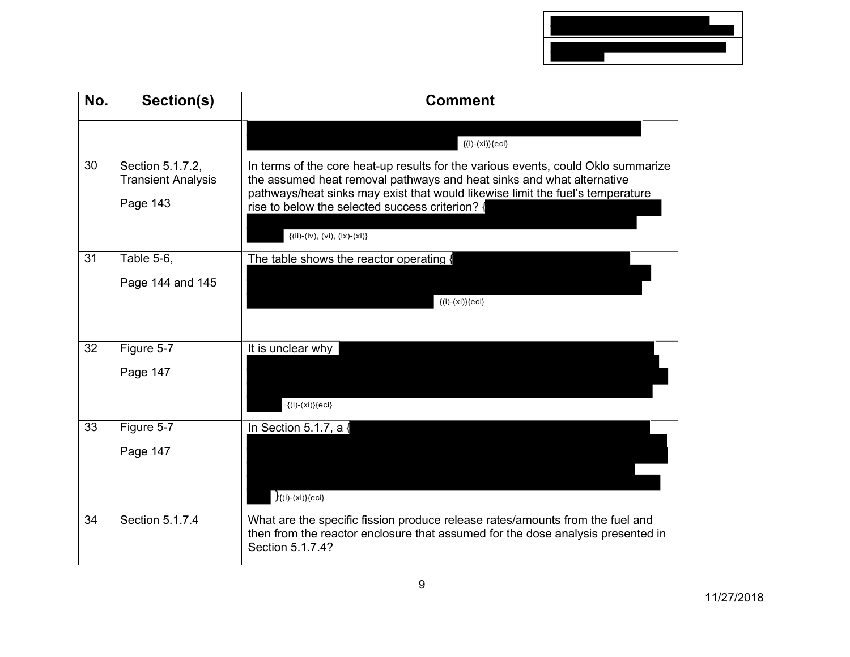

| No. | Section(s)                                                | <b>Comment</b>                                                                                                                                                                                                                                                                                                                     |
|-----|-----------------------------------------------------------|------------------------------------------------------------------------------------------------------------------------------------------------------------------------------------------------------------------------------------------------------------------------------------------------------------------------------------|
|     |                                                           | $\{(i)-(xi)\}$ {eci}                                                                                                                                                                                                                                                                                                               |
| 30  | Section 5.1.7.2,<br><b>Transient Analysis</b><br>Page 143 | In terms of the core heat-up results for the various events, could Oklo summarize<br>the assumed heat removal pathways and heat sinks and what alternative<br>pathways/heat sinks may exist that would likewise limit the fuel's temperature<br>rise to below the selected success criterion? {<br>${(iii)-(iv), (vi), (ix)-(xi)}$ |
| 31  | Table 5-6,                                                | The table shows the reactor operating {                                                                                                                                                                                                                                                                                            |
|     | Page 144 and 145                                          | ${(i)-(xi)}$ {eci}                                                                                                                                                                                                                                                                                                                 |
| 32  | Figure 5-7                                                | It is unclear why                                                                                                                                                                                                                                                                                                                  |
|     | Page 147                                                  | ${(i)-(xi)}$                                                                                                                                                                                                                                                                                                                       |
| 33  | Figure 5-7                                                | In Section 5.1.7, a $\{$                                                                                                                                                                                                                                                                                                           |
|     | Page 147                                                  | $\{i(-x^i)\}$ (eci                                                                                                                                                                                                                                                                                                                 |
| 34  | Section 5.1.7.4                                           | What are the specific fission produce release rates/amounts from the fuel and<br>then from the reactor enclosure that assumed for the dose analysis presented in<br>Section 5.1.7.4?                                                                                                                                               |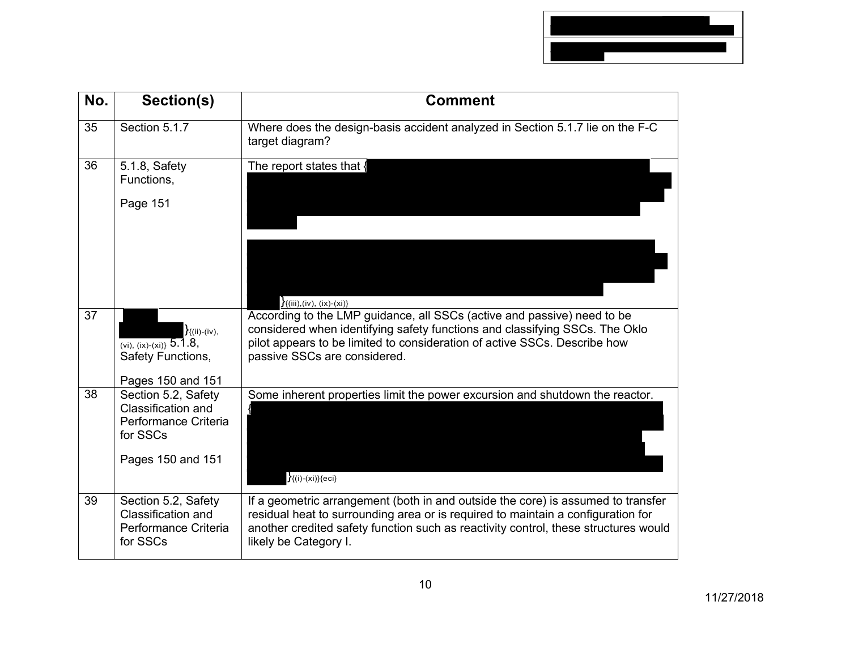| No. | Section(s)                                                                                              | <b>Comment</b>                                                                                                                                                                                                                                                                       |
|-----|---------------------------------------------------------------------------------------------------------|--------------------------------------------------------------------------------------------------------------------------------------------------------------------------------------------------------------------------------------------------------------------------------------|
| 35  | Section 5.1.7                                                                                           | Where does the design-basis accident analyzed in Section 5.1.7 lie on the F-C<br>target diagram?                                                                                                                                                                                     |
| 36  | 5.1.8, Safety<br>Functions,<br>Page 151                                                                 | The report states that {<br>$\{$ (iii),(iv), (ix)-(xi)}                                                                                                                                                                                                                              |
| 37  | $\{$ (ii)-(iv),<br>$\overline{({\sf vi})$ , (ix)-(xi)} 5.1.8,<br>Safety Functions,<br>Pages 150 and 151 | According to the LMP guidance, all SSCs (active and passive) need to be<br>considered when identifying safety functions and classifying SSCs. The Oklo<br>pilot appears to be limited to consideration of active SSCs. Describe how<br>passive SSCs are considered.                  |
| 38  | Section 5.2, Safety<br>Classification and<br>Performance Criteria<br>for SSCs<br>Pages 150 and 151      | Some inherent properties limit the power excursion and shutdown the reactor.<br>$\overline{\{(i)-(xi)\}}$ (eci}                                                                                                                                                                      |
| 39  | Section 5.2, Safety<br>Classification and<br>Performance Criteria<br>for SSCs                           | If a geometric arrangement (both in and outside the core) is assumed to transfer<br>residual heat to surrounding area or is required to maintain a configuration for<br>another credited safety function such as reactivity control, these structures would<br>likely be Category I. |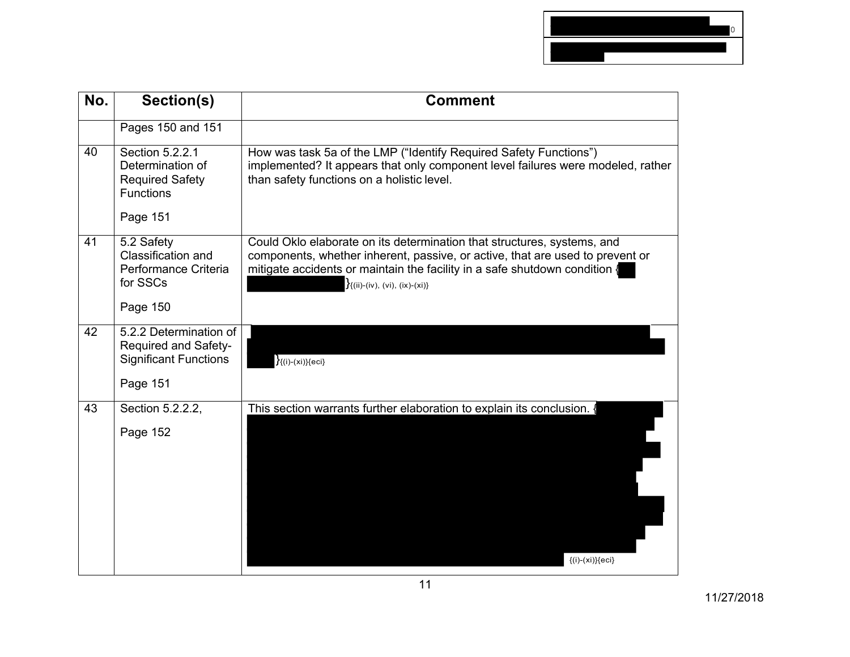

| No.             | Section(s)                                                                                        | <b>Comment</b>                                                                                                                                                                                                                                                             |
|-----------------|---------------------------------------------------------------------------------------------------|----------------------------------------------------------------------------------------------------------------------------------------------------------------------------------------------------------------------------------------------------------------------------|
|                 | Pages 150 and 151                                                                                 |                                                                                                                                                                                                                                                                            |
| 40              | Section 5.2.2.1<br>Determination of<br><b>Required Safety</b><br><b>Functions</b>                 | How was task 5a of the LMP ("Identify Required Safety Functions")<br>implemented? It appears that only component level failures were modeled, rather<br>than safety functions on a holistic level.                                                                         |
|                 | Page 151                                                                                          |                                                                                                                                                                                                                                                                            |
| 41              | 5.2 Safety<br>Classification and<br>Performance Criteria<br>for SSCs                              | Could Oklo elaborate on its determination that structures, systems, and<br>components, whether inherent, passive, or active, that are used to prevent or<br>mitigate accidents or maintain the facility in a safe shutdown condition {<br>$\{$ (ii)-(iv), (vi), (ix)-(xi)} |
|                 | Page 150                                                                                          |                                                                                                                                                                                                                                                                            |
| $\overline{42}$ | 5.2.2 Determination of<br><b>Required and Safety-</b><br><b>Significant Functions</b><br>Page 151 | $\}_{(i)$ -(xi)}{eci}                                                                                                                                                                                                                                                      |
| 43              | Section 5.2.2.2,<br>Page 152                                                                      | This section warrants further elaboration to explain its conclusion. {<br>${(i)-(xi)}$                                                                                                                                                                                     |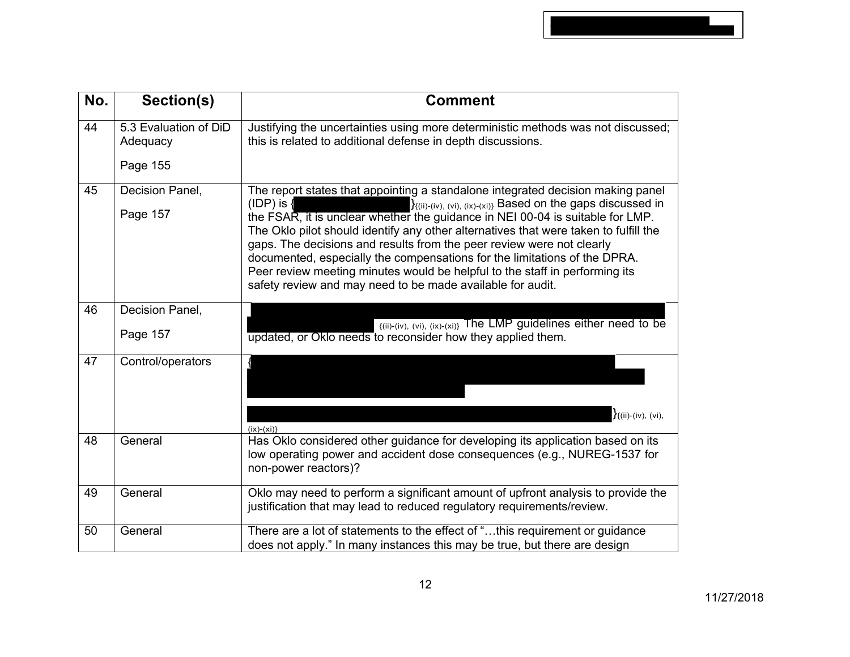| No. | Section(s)                        | <b>Comment</b>                                                                                                                                                                                                                                                                                                                                                                                                                                                                                                                                                                                                                                                         |
|-----|-----------------------------------|------------------------------------------------------------------------------------------------------------------------------------------------------------------------------------------------------------------------------------------------------------------------------------------------------------------------------------------------------------------------------------------------------------------------------------------------------------------------------------------------------------------------------------------------------------------------------------------------------------------------------------------------------------------------|
| 44  | 5.3 Evaluation of DiD<br>Adequacy | Justifying the uncertainties using more deterministic methods was not discussed;<br>this is related to additional defense in depth discussions.                                                                                                                                                                                                                                                                                                                                                                                                                                                                                                                        |
|     | Page 155                          |                                                                                                                                                                                                                                                                                                                                                                                                                                                                                                                                                                                                                                                                        |
| 45  | Decision Panel,<br>Page 157       | The report states that appointing a standalone integrated decision making panel<br>$\left\{ \right\} _{\{(ii)-(iv), (vi), (ix)-(xi)\}}$ Based on the gaps discussed in<br>$(IDP)$ is $\{$<br>the FSAR, it is unclear whether the guidance in NEI 00-04 is suitable for LMP.<br>The Oklo pilot should identify any other alternatives that were taken to fulfill the<br>gaps. The decisions and results from the peer review were not clearly<br>documented, especially the compensations for the limitations of the DPRA.<br>Peer review meeting minutes would be helpful to the staff in performing its<br>safety review and may need to be made available for audit. |
| 46  | Decision Panel,<br>Page 157       | $\frac{1}{(iii)-(iv)}$ , $(vi)$ , $(ix)-(xi))$ The LMP guidelines either need to be<br>updated, or Oklo needs to reconsider how they applied them.                                                                                                                                                                                                                                                                                                                                                                                                                                                                                                                     |
| 47  | Control/operators                 | $\}$ {(ii)-(iv), (vi),<br>$(ix)-(xi)\}$                                                                                                                                                                                                                                                                                                                                                                                                                                                                                                                                                                                                                                |
| 48  | General                           | Has Oklo considered other guidance for developing its application based on its<br>low operating power and accident dose consequences (e.g., NUREG-1537 for<br>non-power reactors)?                                                                                                                                                                                                                                                                                                                                                                                                                                                                                     |
| 49  | General                           | Oklo may need to perform a significant amount of upfront analysis to provide the<br>justification that may lead to reduced regulatory requirements/review.                                                                                                                                                                                                                                                                                                                                                                                                                                                                                                             |
| 50  | General                           | There are a lot of statements to the effect of "this requirement or guidance<br>does not apply." In many instances this may be true, but there are design                                                                                                                                                                                                                                                                                                                                                                                                                                                                                                              |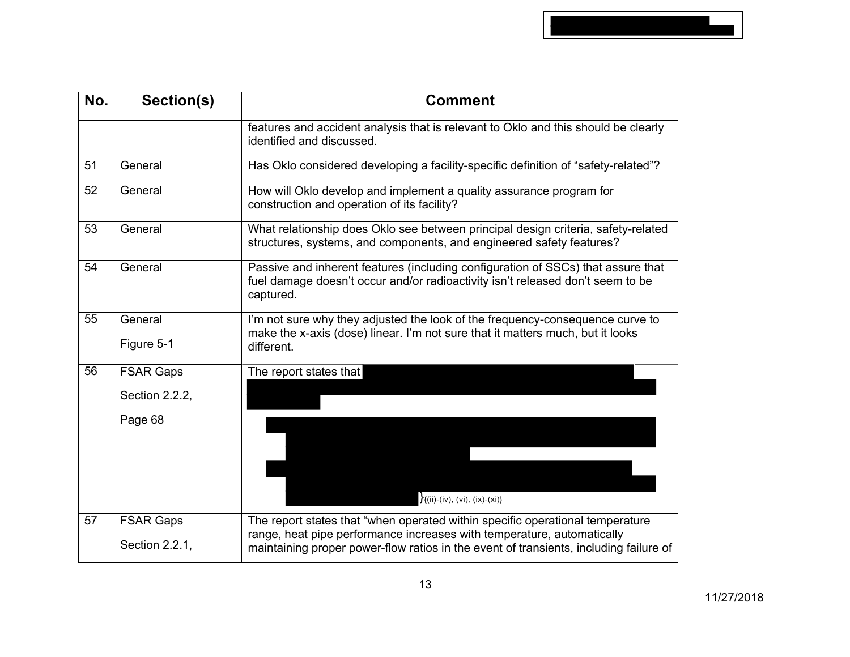| No. | Section(s)                                    | <b>Comment</b>                                                                                                                                                                                                                                   |
|-----|-----------------------------------------------|--------------------------------------------------------------------------------------------------------------------------------------------------------------------------------------------------------------------------------------------------|
|     |                                               | features and accident analysis that is relevant to Oklo and this should be clearly<br>identified and discussed.                                                                                                                                  |
| 51  | General                                       | Has Oklo considered developing a facility-specific definition of "safety-related"?                                                                                                                                                               |
| 52  | General                                       | How will Oklo develop and implement a quality assurance program for<br>construction and operation of its facility?                                                                                                                               |
| 53  | General                                       | What relationship does Oklo see between principal design criteria, safety-related<br>structures, systems, and components, and engineered safety features?                                                                                        |
| 54  | General                                       | Passive and inherent features (including configuration of SSCs) that assure that<br>fuel damage doesn't occur and/or radioactivity isn't released don't seem to be<br>captured.                                                                  |
| 55  | General<br>Figure 5-1                         | I'm not sure why they adjusted the look of the frequency-consequence curve to<br>make the x-axis (dose) linear. I'm not sure that it matters much, but it looks<br>different.                                                                    |
| 56  | <b>FSAR Gaps</b><br>Section 2.2.2,<br>Page 68 | The report states that<br>$\}$ {(ii)-(iv), (vi), (ix)-(xi)}                                                                                                                                                                                      |
| 57  | <b>FSAR Gaps</b><br>Section 2.2.1,            | The report states that "when operated within specific operational temperature<br>range, heat pipe performance increases with temperature, automatically<br>maintaining proper power-flow ratios in the event of transients, including failure of |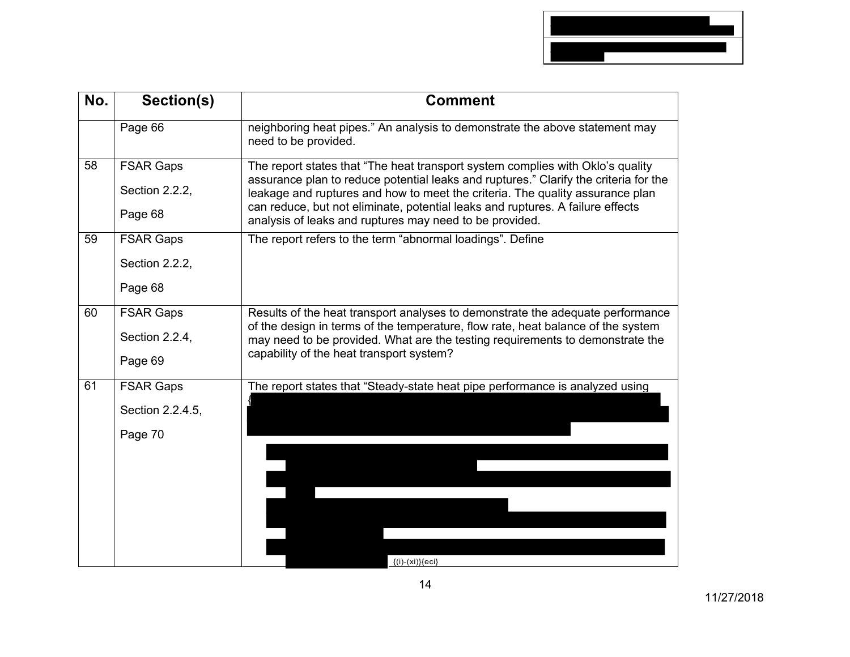

| No. | Section(s)                                      | <b>Comment</b>                                                                                                                                                                                                                                                                                                                                                                                       |
|-----|-------------------------------------------------|------------------------------------------------------------------------------------------------------------------------------------------------------------------------------------------------------------------------------------------------------------------------------------------------------------------------------------------------------------------------------------------------------|
|     | Page 66                                         | neighboring heat pipes." An analysis to demonstrate the above statement may<br>need to be provided.                                                                                                                                                                                                                                                                                                  |
| 58  | <b>FSAR Gaps</b><br>Section 2.2.2,<br>Page 68   | The report states that "The heat transport system complies with Oklo's quality<br>assurance plan to reduce potential leaks and ruptures." Clarify the criteria for the<br>leakage and ruptures and how to meet the criteria. The quality assurance plan<br>can reduce, but not eliminate, potential leaks and ruptures. A failure effects<br>analysis of leaks and ruptures may need to be provided. |
| 59  | <b>FSAR Gaps</b><br>Section 2.2.2,<br>Page 68   | The report refers to the term "abnormal loadings". Define                                                                                                                                                                                                                                                                                                                                            |
| 60  | <b>FSAR Gaps</b><br>Section 2.2.4,<br>Page 69   | Results of the heat transport analyses to demonstrate the adequate performance<br>of the design in terms of the temperature, flow rate, heat balance of the system<br>may need to be provided. What are the testing requirements to demonstrate the<br>capability of the heat transport system?                                                                                                      |
| 61  | <b>FSAR Gaps</b><br>Section 2.2.4.5,<br>Page 70 | The report states that "Steady-state heat pipe performance is analyzed using<br>$\{(i)-(xi)\}$ {eci}                                                                                                                                                                                                                                                                                                 |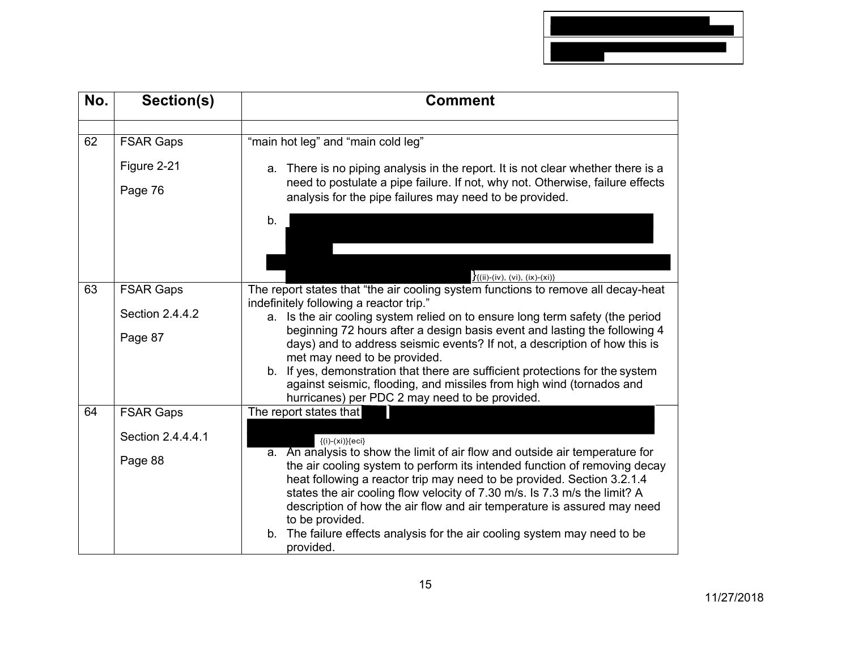| No. | Section(s)                                       | <b>Comment</b>                                                                                                                                                                                                                                                                                                                                                                                                                                                                                                                                        |
|-----|--------------------------------------------------|-------------------------------------------------------------------------------------------------------------------------------------------------------------------------------------------------------------------------------------------------------------------------------------------------------------------------------------------------------------------------------------------------------------------------------------------------------------------------------------------------------------------------------------------------------|
| 62  | <b>FSAR Gaps</b>                                 | "main hot leg" and "main cold leg"                                                                                                                                                                                                                                                                                                                                                                                                                                                                                                                    |
|     | Figure 2-21<br>Page 76                           | a. There is no piping analysis in the report. It is not clear whether there is a<br>need to postulate a pipe failure. If not, why not. Otherwise, failure effects<br>analysis for the pipe failures may need to be provided.                                                                                                                                                                                                                                                                                                                          |
|     |                                                  | b.                                                                                                                                                                                                                                                                                                                                                                                                                                                                                                                                                    |
|     |                                                  | $\{$ (ii)-(iv), (vi), (ix)-(xi)}                                                                                                                                                                                                                                                                                                                                                                                                                                                                                                                      |
| 63  | <b>FSAR Gaps</b>                                 | The report states that "the air cooling system functions to remove all decay-heat                                                                                                                                                                                                                                                                                                                                                                                                                                                                     |
|     | Section 2.4.4.2<br>Page 87                       | indefinitely following a reactor trip."<br>a. Is the air cooling system relied on to ensure long term safety (the period<br>beginning 72 hours after a design basis event and lasting the following 4<br>days) and to address seismic events? If not, a description of how this is<br>met may need to be provided.<br>b. If yes, demonstration that there are sufficient protections for the system<br>against seismic, flooding, and missiles from high wind (tornados and<br>hurricanes) per PDC 2 may need to be provided.                         |
| 64  | <b>FSAR Gaps</b><br>Section 2.4.4.4.1<br>Page 88 | The report states that<br>${(i)-(xi)}$<br>a. An analysis to show the limit of air flow and outside air temperature for<br>the air cooling system to perform its intended function of removing decay<br>heat following a reactor trip may need to be provided. Section 3.2.1.4<br>states the air cooling flow velocity of 7.30 m/s. Is 7.3 m/s the limit? A<br>description of how the air flow and air temperature is assured may need<br>to be provided.<br>The failure effects analysis for the air cooling system may need to be<br>b.<br>provided. |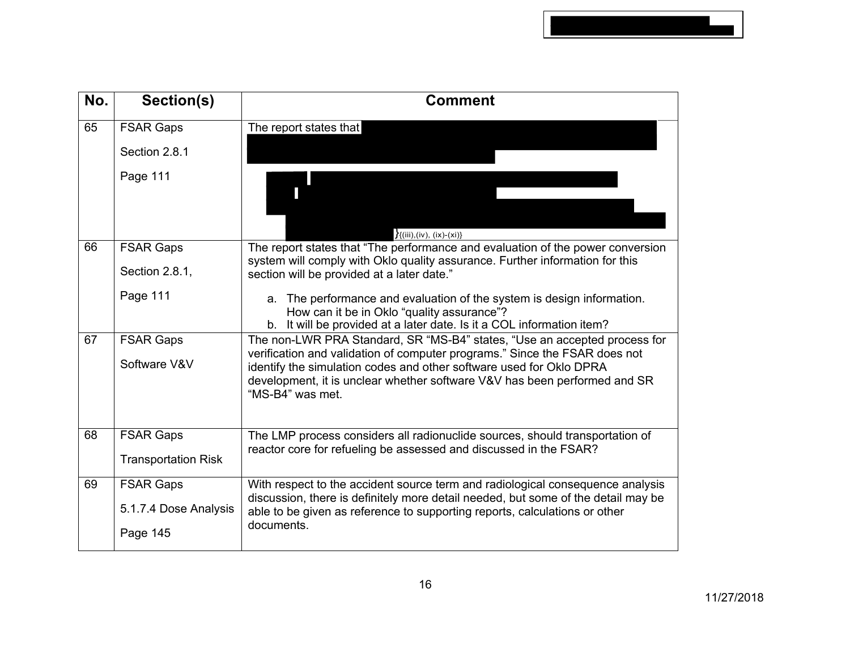| No. | Section(s)                        | Comment                                                                                                                                                                                                                                                                                                                         |
|-----|-----------------------------------|---------------------------------------------------------------------------------------------------------------------------------------------------------------------------------------------------------------------------------------------------------------------------------------------------------------------------------|
| 65  | <b>FSAR Gaps</b>                  | The report states that                                                                                                                                                                                                                                                                                                          |
|     | Section 2.8.1                     |                                                                                                                                                                                                                                                                                                                                 |
|     | Page 111                          | $\{$ (iii),(iv), (ix)-(xi)}                                                                                                                                                                                                                                                                                                     |
| 66  | <b>FSAR Gaps</b>                  | The report states that "The performance and evaluation of the power conversion<br>system will comply with Oklo quality assurance. Further information for this                                                                                                                                                                  |
|     | Section 2.8.1,                    | section will be provided at a later date."                                                                                                                                                                                                                                                                                      |
|     | Page 111                          | a. The performance and evaluation of the system is design information.<br>How can it be in Oklo "quality assurance"?<br>b. It will be provided at a later date. Is it a COL information item?                                                                                                                                   |
| 67  | <b>FSAR Gaps</b><br>Software V&V  | The non-LWR PRA Standard, SR "MS-B4" states, "Use an accepted process for<br>verification and validation of computer programs." Since the FSAR does not<br>identify the simulation codes and other software used for Oklo DPRA<br>development, it is unclear whether software V&V has been performed and SR<br>"MS-B4" was met. |
| 68  | <b>FSAR Gaps</b>                  | The LMP process considers all radionuclide sources, should transportation of                                                                                                                                                                                                                                                    |
|     | <b>Transportation Risk</b>        | reactor core for refueling be assessed and discussed in the FSAR?                                                                                                                                                                                                                                                               |
| 69  | <b>FSAR Gaps</b>                  | With respect to the accident source term and radiological consequence analysis                                                                                                                                                                                                                                                  |
|     | 5.1.7.4 Dose Analysis<br>Page 145 | discussion, there is definitely more detail needed, but some of the detail may be<br>able to be given as reference to supporting reports, calculations or other<br>documents.                                                                                                                                                   |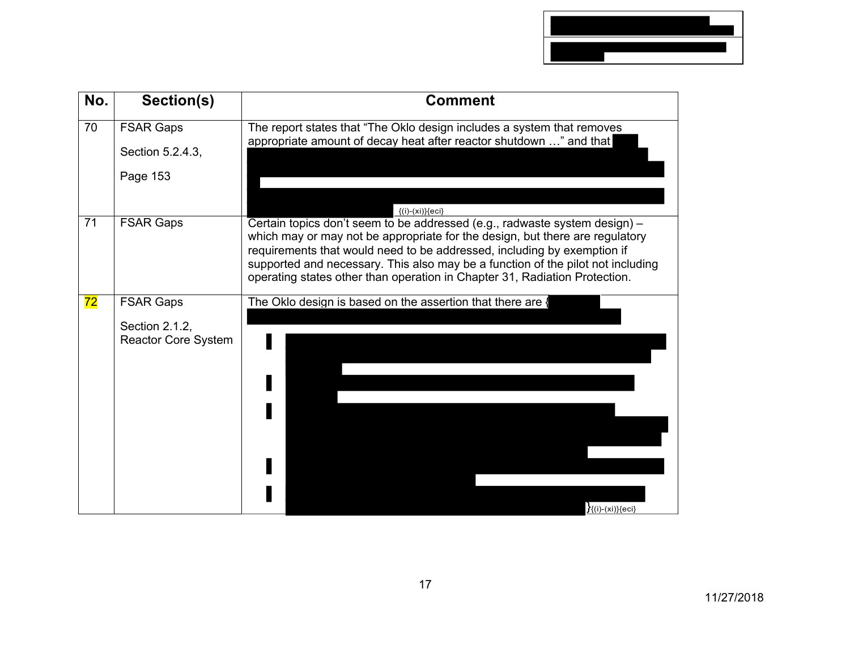

| No. | Section(s)                                                | <b>Comment</b>                                                                                                                                                                                                                                                                                                                                                                                         |
|-----|-----------------------------------------------------------|--------------------------------------------------------------------------------------------------------------------------------------------------------------------------------------------------------------------------------------------------------------------------------------------------------------------------------------------------------------------------------------------------------|
| 70  | <b>FSAR Gaps</b><br>Section 5.2.4.3,<br>Page 153          | The report states that "The Oklo design includes a system that removes<br>appropriate amount of decay heat after reactor shutdown " and that<br>$\{(i)-(xi)\}$ eci}                                                                                                                                                                                                                                    |
| 71  | <b>FSAR Gaps</b>                                          | Certain topics don't seem to be addressed (e.g., radwaste system design) -<br>which may or may not be appropriate for the design, but there are regulatory<br>requirements that would need to be addressed, including by exemption if<br>supported and necessary. This also may be a function of the pilot not including<br>operating states other than operation in Chapter 31, Radiation Protection. |
| 72  | <b>FSAR Gaps</b><br>Section 2.1.2,<br>Reactor Core System | The Oklo design is based on the assertion that there are $\{$<br>$\{(\mathsf{i})\text{-}(\mathsf{x}\mathsf{i})\}$ {eci}                                                                                                                                                                                                                                                                                |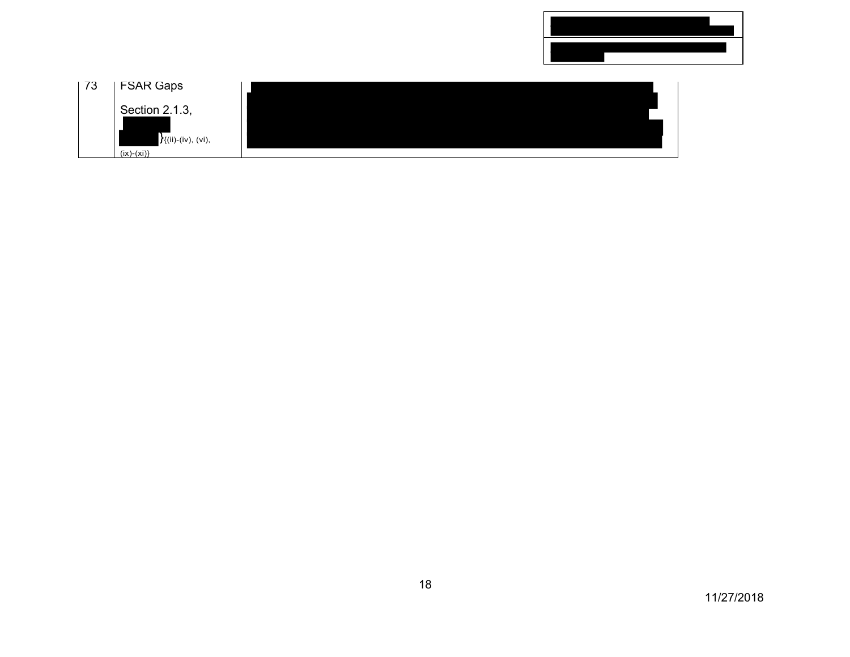

| 73 | <b>FSAR Gaps</b>                         |  |
|----|------------------------------------------|--|
|    | Section 2.1.3,                           |  |
|    | ${ }$ {(ii)-(iv), (vi),<br>$(ix)-(xi)\}$ |  |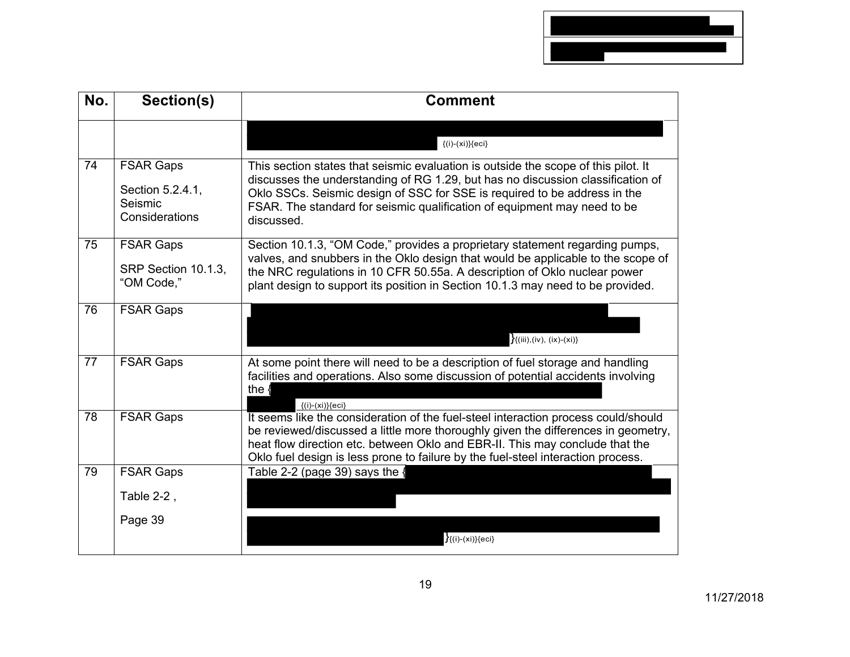| No. | Section(s)                                                        | <b>Comment</b>                                                                                                                                                                                                                                                                                                                               |
|-----|-------------------------------------------------------------------|----------------------------------------------------------------------------------------------------------------------------------------------------------------------------------------------------------------------------------------------------------------------------------------------------------------------------------------------|
|     |                                                                   | ${(i)-(xi)}$                                                                                                                                                                                                                                                                                                                                 |
| 74  | <b>FSAR Gaps</b><br>Section 5.2.4.1,<br>Seismic<br>Considerations | This section states that seismic evaluation is outside the scope of this pilot. It<br>discusses the understanding of RG 1.29, but has no discussion classification of<br>Oklo SSCs. Seismic design of SSC for SSE is required to be address in the<br>FSAR. The standard for seismic qualification of equipment may need to be<br>discussed. |
| 75  | <b>FSAR Gaps</b><br>SRP Section 10.1.3,<br>"OM Code."             | Section 10.1.3, "OM Code," provides a proprietary statement regarding pumps,<br>valves, and snubbers in the Oklo design that would be applicable to the scope of<br>the NRC regulations in 10 CFR 50.55a. A description of Oklo nuclear power<br>plant design to support its position in Section 10.1.3 may need to be provided.             |
| 76  | <b>FSAR Gaps</b>                                                  | $\{$ (iii),(iv), (ix)-(xi)}                                                                                                                                                                                                                                                                                                                  |
| 77  | <b>FSAR Gaps</b>                                                  | At some point there will need to be a description of fuel storage and handling<br>facilities and operations. Also some discussion of potential accidents involving<br>the $\{$<br>${(i)-(xi)}$                                                                                                                                               |
| 78  | <b>FSAR Gaps</b>                                                  | It seems like the consideration of the fuel-steel interaction process could/should<br>be reviewed/discussed a little more thoroughly given the differences in geometry,<br>heat flow direction etc. between Oklo and EBR-II. This may conclude that the<br>Oklo fuel design is less prone to failure by the fuel-steel interaction process.  |
| 79  | <b>FSAR Gaps</b><br>Table 2-2,                                    | Table 2-2 (page 39) says the $\{$                                                                                                                                                                                                                                                                                                            |
|     | Page 39                                                           | ${ }_{ {(ii)-(xi)}{ }$                                                                                                                                                                                                                                                                                                                       |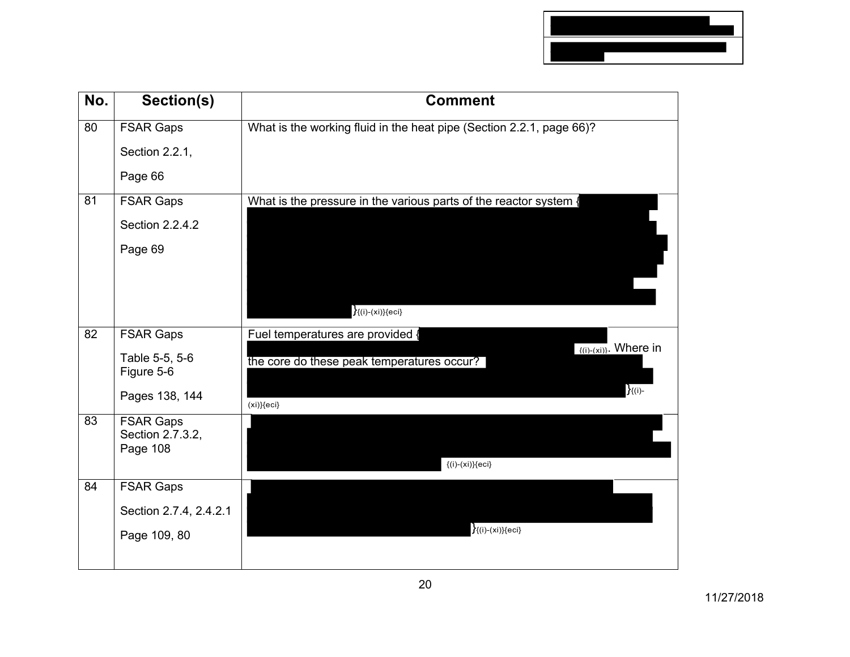

| No. | Section(s)                           | <b>Comment</b>                                                                                 |
|-----|--------------------------------------|------------------------------------------------------------------------------------------------|
| 80  | <b>FSAR Gaps</b>                     | What is the working fluid in the heat pipe (Section 2.2.1, page 66)?                           |
|     | Section 2.2.1,                       |                                                                                                |
|     | Page 66                              |                                                                                                |
| 81  | <b>FSAR Gaps</b>                     | What is the pressure in the various parts of the reactor system {                              |
|     | Section 2.2.4.2                      |                                                                                                |
|     | Page 69                              |                                                                                                |
|     |                                      |                                                                                                |
|     |                                      |                                                                                                |
|     |                                      | $\sum_{i,j}$ (i)-(xi)}{eci}                                                                    |
| 82  | <b>FSAR Gaps</b>                     | Fuel temperatures are provided {                                                               |
|     | Table 5-5, 5-6                       | $\frac{f(i)-(xi)}{g(i)-(xi)}$ . Where in<br>the core do these peak temperatures occur?         |
|     | Figure 5-6                           | $\{f(i)-$                                                                                      |
|     | Pages 138, 144                       | $(xi)\}$ {eci}                                                                                 |
| 83  | <b>FSAR Gaps</b><br>Section 2.7.3.2, |                                                                                                |
|     | Page 108                             |                                                                                                |
|     |                                      | ${(i)-(xi)}$                                                                                   |
| 84  | <b>FSAR Gaps</b>                     |                                                                                                |
|     | Section 2.7.4, 2.4.2.1               |                                                                                                |
|     | Page 109, 80                         | $\overline{\left\{\left(\mathsf{i}\right\} - \left(\mathsf{x}\mathsf{i}\right)\right\}}$ {eci} |
|     |                                      |                                                                                                |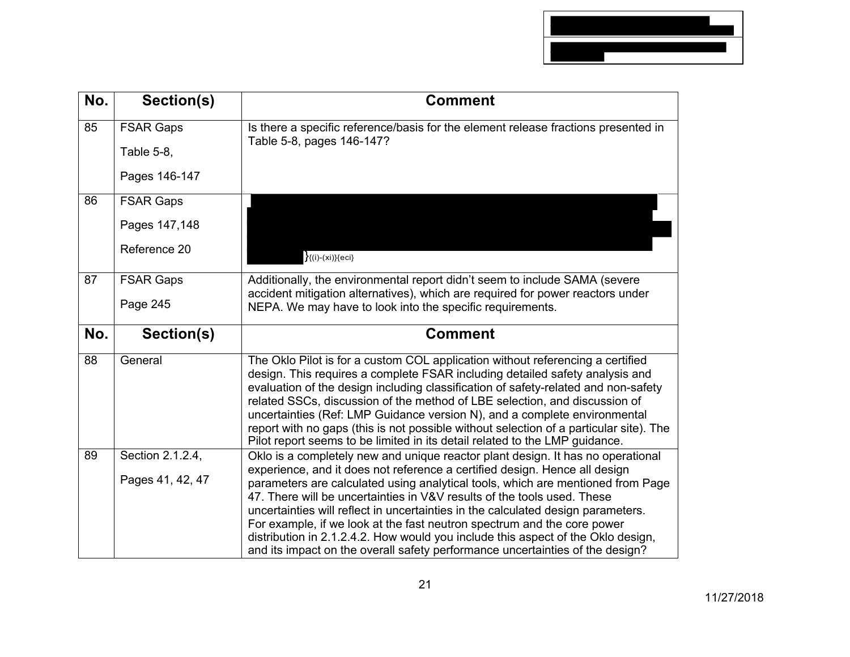| No. | Section(s)       | <b>Comment</b>                                                                                                                                                                                                                                                                                                                                                                                                                                                                                                                                                                           |
|-----|------------------|------------------------------------------------------------------------------------------------------------------------------------------------------------------------------------------------------------------------------------------------------------------------------------------------------------------------------------------------------------------------------------------------------------------------------------------------------------------------------------------------------------------------------------------------------------------------------------------|
| 85  | <b>FSAR Gaps</b> | Is there a specific reference/basis for the element release fractions presented in                                                                                                                                                                                                                                                                                                                                                                                                                                                                                                       |
|     | Table 5-8,       | Table 5-8, pages 146-147?                                                                                                                                                                                                                                                                                                                                                                                                                                                                                                                                                                |
|     | Pages 146-147    |                                                                                                                                                                                                                                                                                                                                                                                                                                                                                                                                                                                          |
| 86  | <b>FSAR Gaps</b> |                                                                                                                                                                                                                                                                                                                                                                                                                                                                                                                                                                                          |
|     | Pages 147,148    |                                                                                                                                                                                                                                                                                                                                                                                                                                                                                                                                                                                          |
|     | Reference 20     | $\}_{$ (i)-(xi)}{eci}                                                                                                                                                                                                                                                                                                                                                                                                                                                                                                                                                                    |
| 87  | <b>FSAR Gaps</b> | Additionally, the environmental report didn't seem to include SAMA (severe                                                                                                                                                                                                                                                                                                                                                                                                                                                                                                               |
|     | Page 245         | accident mitigation alternatives), which are required for power reactors under<br>NEPA. We may have to look into the specific requirements.                                                                                                                                                                                                                                                                                                                                                                                                                                              |
| No. | Section(s)       | <b>Comment</b>                                                                                                                                                                                                                                                                                                                                                                                                                                                                                                                                                                           |
| 88  | General          | The Oklo Pilot is for a custom COL application without referencing a certified<br>design. This requires a complete FSAR including detailed safety analysis and<br>evaluation of the design including classification of safety-related and non-safety<br>related SSCs, discussion of the method of LBE selection, and discussion of<br>uncertainties (Ref: LMP Guidance version N), and a complete environmental<br>report with no gaps (this is not possible without selection of a particular site). The<br>Pilot report seems to be limited in its detail related to the LMP guidance. |
| 89  | Section 2.1.2.4, | Oklo is a completely new and unique reactor plant design. It has no operational                                                                                                                                                                                                                                                                                                                                                                                                                                                                                                          |
|     | Pages 41, 42, 47 | experience, and it does not reference a certified design. Hence all design<br>parameters are calculated using analytical tools, which are mentioned from Page<br>47. There will be uncertainties in V&V results of the tools used. These<br>uncertainties will reflect in uncertainties in the calculated design parameters.<br>For example, if we look at the fast neutron spectrum and the core power<br>distribution in 2.1.2.4.2. How would you include this aspect of the Oklo design,<br>and its impact on the overall safety performance uncertainties of the design?             |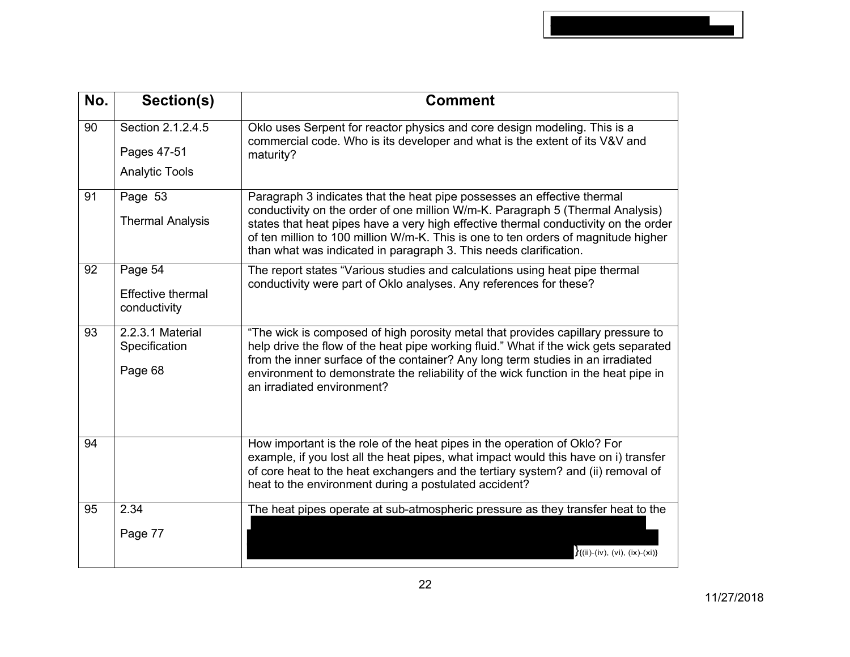| No. | Section(s)                                                | <b>Comment</b>                                                                                                                                                                                                                                                                                                                                                                                              |
|-----|-----------------------------------------------------------|-------------------------------------------------------------------------------------------------------------------------------------------------------------------------------------------------------------------------------------------------------------------------------------------------------------------------------------------------------------------------------------------------------------|
| 90  | Section 2.1.2.4.5<br>Pages 47-51<br><b>Analytic Tools</b> | Oklo uses Serpent for reactor physics and core design modeling. This is a<br>commercial code. Who is its developer and what is the extent of its V&V and<br>maturity?                                                                                                                                                                                                                                       |
| 91  | Page 53<br><b>Thermal Analysis</b>                        | Paragraph 3 indicates that the heat pipe possesses an effective thermal<br>conductivity on the order of one million W/m-K. Paragraph 5 (Thermal Analysis)<br>states that heat pipes have a very high effective thermal conductivity on the order<br>of ten million to 100 million W/m-K. This is one to ten orders of magnitude higher<br>than what was indicated in paragraph 3. This needs clarification. |
| 92  | Page 54<br><b>Effective thermal</b><br>conductivity       | The report states "Various studies and calculations using heat pipe thermal<br>conductivity were part of Oklo analyses. Any references for these?                                                                                                                                                                                                                                                           |
| 93  | 2.2.3.1 Material<br>Specification<br>Page 68              | "The wick is composed of high porosity metal that provides capillary pressure to<br>help drive the flow of the heat pipe working fluid." What if the wick gets separated<br>from the inner surface of the container? Any long term studies in an irradiated<br>environment to demonstrate the reliability of the wick function in the heat pipe in<br>an irradiated environment?                            |
| 94  |                                                           | How important is the role of the heat pipes in the operation of Oklo? For<br>example, if you lost all the heat pipes, what impact would this have on i) transfer<br>of core heat to the heat exchangers and the tertiary system? and (ii) removal of<br>heat to the environment during a postulated accident?                                                                                               |
| 95  | 2.34<br>Page 77                                           | The heat pipes operate at sub-atmospheric pressure as they transfer heat to the<br>$\{$ (ii)-(iv), (vi), (ix)-(xi)}                                                                                                                                                                                                                                                                                         |